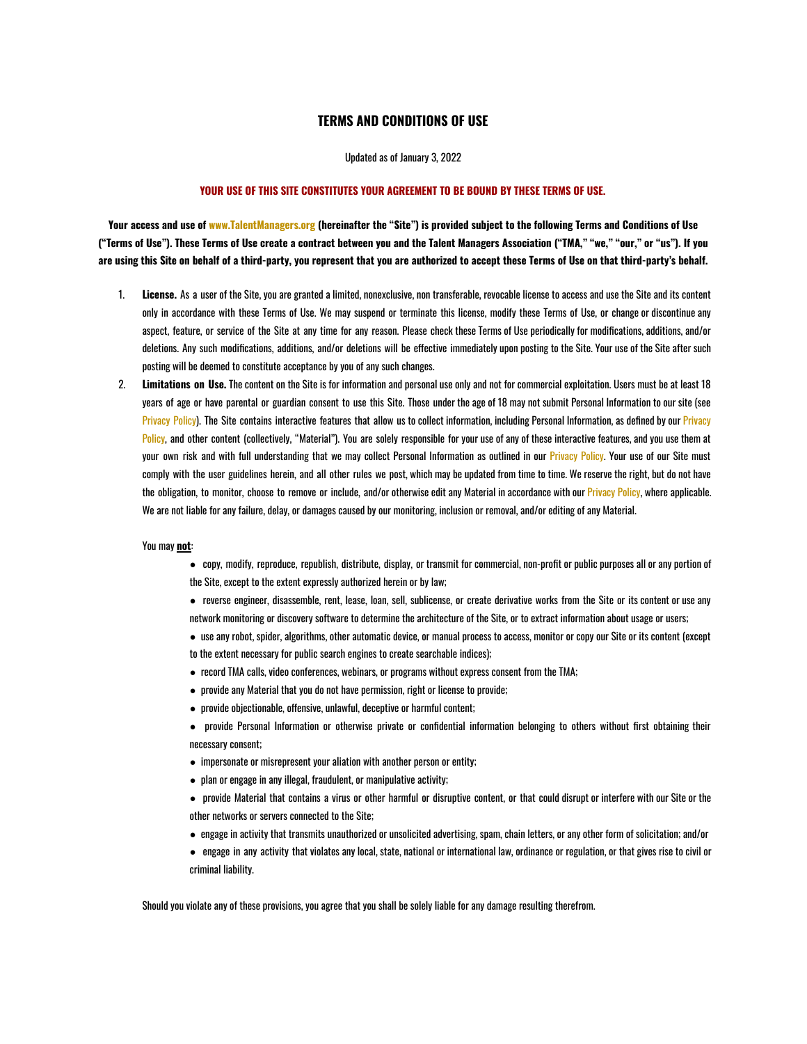## **TERMS AND CONDITIONS OF USE**

Updated as of January 3, 2022

## **YOUR USE OF THIS SITE CONSTITUTES YOUR AGREEMENT TO BE BOUND BY THESE TERMS OF USE.**

Your access and use of www.TalentManagers.org (hereinafter the "Site") is provided subject to the following Terms and Conditions of Use ("Terms of Use"). These Terms of Use create a contract between you and the Talent Managers Association ("TMA," "we," "our," or "us"). If you are using this Site on behalf of a third-party, you represent that you are authorized to accept these Terms of Use on that third-party's behalf.

- 1. **License.** As a user of the Site, you are granted a limited, nonexclusive, non transferable, revocable license to access and use the Site and its content only in accordance with these Terms of Use. We may suspend or terminate this license, modify these Terms of Use, or change or discontinue any aspect, feature, or service of the Site at any time for any reason. Please check these Terms of Use periodically for modifications, additions, and/or deletions. Any such modifications, additions, and/or deletions will be effective immediately upon posting to the Site. Your use of the Site after such posting will be deemed to constitute acceptance by you of any such changes.
- 2. **Limitations on Use.** The content on the Site is for information and personal use only and not for commercial exploitation. Users must be at least 18 years of age or have parental or guardian consent to use this Site. Those under the age of 18 may not submit Personal Information to our site (see Privacy Policy). The Site contains interactive features that allow us to collect information, including Personal Information, as defined by our Privacy Policy, and other content (collectively, "Material"). You are solely responsible for your use of any of these interactive features, and you use them at your own risk and with full understanding that we may collect Personal Information as outlined in our Privacy Policy. Your use of our Site must comply with the user guidelines herein, and all other rules we post, which may be updated from time to time. We reserve the right, but do not have the obligation, to monitor, choose to remove or include, and/or otherwise edit any Material in accordance with our Privacy Policy, where applicable. We are not liable for any failure, delay, or damages caused by our monitoring, inclusion or removal, and/or editing of any Material.

## You may **not**:

- copy, modify, reproduce, republish, distribute, display, or transmit for commercial, non-profit or public purposes all or any portion of the Site, except to the extent expressly authorized herein or by law;
- reverse engineer, disassemble, rent, lease, loan, sell, sublicense, or create derivative works from the Site or its content or use any network monitoring or discovery software to determine the architecture of the Site, or to extract information about usage or users;
- use any robot, spider, algorithms, other automatic device, or manual process to access, monitor or copy our Site or its content (except to the extent necessary for public search engines to create searchable indices);
- record TMA calls, video conferences, webinars, or programs without express consent from the TMA;
- provide any Material that you do not have permission, right or license to provide;
- provide objectionable, offensive, unlawful, deceptive or harmful content;
- provide Personal Information or otherwise private or confidential information belonging to others without first obtaining their necessary consent;
- impersonate or misrepresent your aliation with another person or entity;
- plan or engage in any illegal, fraudulent, or manipulative activity;
- provide Material that contains a virus or other harmful or disruptive content, or that could disrupt or interfere with our Site or the other networks or servers connected to the Site;
- engage in activity that transmits unauthorized or unsolicited advertising, spam, chain letters, or any other form of solicitation; and/or
- engage in any activity that violates any local, state, national or international law, ordinance or regulation, or that gives rise to civil or criminal liability.

Should you violate any of these provisions, you agree that you shall be solely liable for any damage resulting therefrom.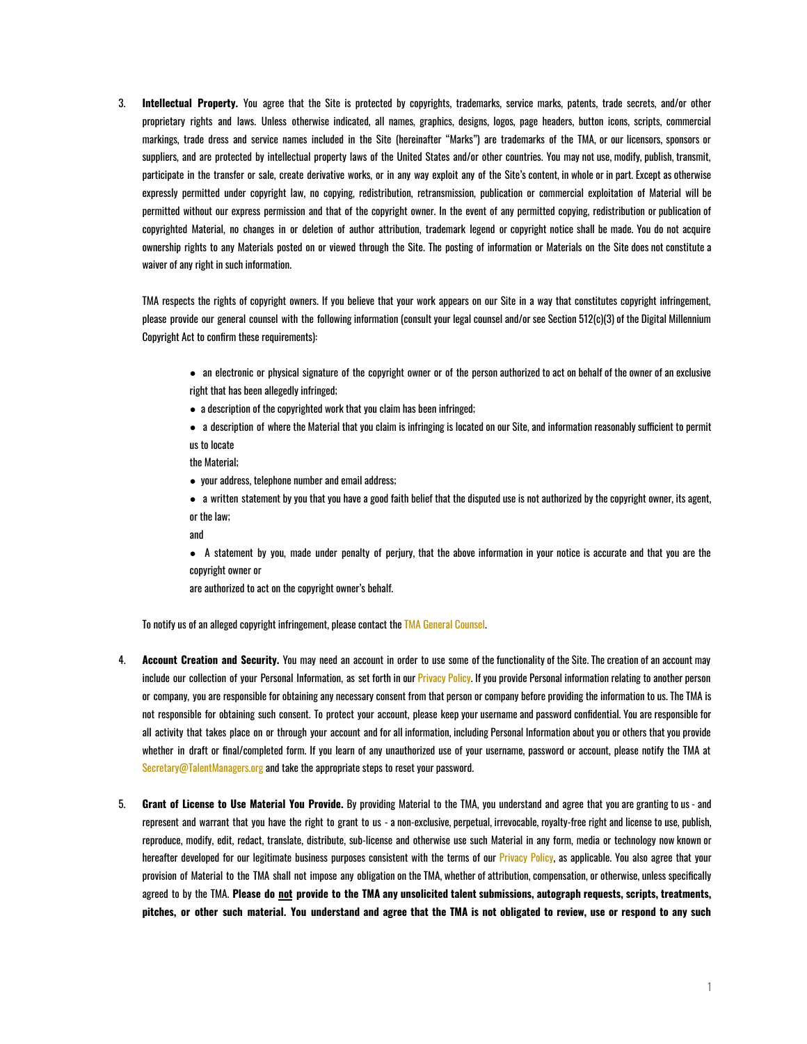3. **Intellectual Property.** You agree that the Site is protected by copyrights, trademarks, service marks, patents, trade secrets, and/or other proprietary rights and laws. Unless otherwise indicated, all names, graphics, designs, logos, page headers, button icons, scripts, commercial markings, trade dress and service names included in the Site (hereinafter "Marks") are trademarks of the TMA, or our licensors, sponsors or suppliers, and are protected by intellectual property laws of the United States and/or other countries. You may not use, modify, publish, transmit, participate in the transfer or sale, create derivative works, or in any way exploit any of the Site's content, in whole or in part. Except as otherwise expressly permitted under copyright law, no copying, redistribution, retransmission, publication or commercial exploitation of Material will be permitted without our express permission and that of the copyright owner. In the event of any permitted copying, redistribution or publication of copyrighted Material, no changes in or deletion of author attribution, trademark legend or copyright notice shall be made. You do not acquire ownership rights to any Materials posted on or viewed through the Site. The posting of information or Materials on the Site does not constitute a waiver of any right in such information.

TMA respects the rights of copyright owners. If you believe that your work appears on our Site in a way that constitutes copyright infringement, please provide our general counsel with the following information (consult your legal counsel and/or see Section 512(c)(3) of the Digital Millennium Copyright Act to confirm these requirements):

- an electronic or physical signature of the copyright owner or of the person authorized to act on behalf of the owner of an exclusive right that has been allegedly infringed;
- a description of the copyrighted work that you claim has been infringed;
- a description of where the Material that you claim is infringing is located on our Site, and information reasonably sufficient to permit us to locate

the Material;

- your address, telephone number and email address;
- a written statement by you that you have a good faith belief that the disputed use is not authorized by the copyright owner, its agent, or the law;

and

● A statement by you, made under penalty of perjury, that the above information in your notice is accurate and that you are the copyright owner or

are authorized to act on the copyright owner's behalf.

To notify us of an alleged copyright infringement, please contact the TMA General Counsel.

- 4. **Account Creation and Security.** You may need an account in order to use some of the functionality of the Site. The creation of an account may include our collection of your Personal Information, as set forth in our Privacy Policy. If you provide Personal information relating to another person or company, you are responsible for obtaining any necessary consent from that person or company before providing the information to us. The TMA is not responsible for obtaining such consent. To protect your account, please keep your username and password confidential. You are responsible for all activity that takes place on or through your account and for all information, including Personal Information about you or others that you provide whether in draft or final/completed form. If you learn of any unauthorized use of your username, password or account, please notify the TMA at Secretary@TalentManagers.org and take the appropriate steps to reset your password.
- 5. **Grant of License to Use Material You Provide.** By providing Material to the TMA, you understand and agree that you are granting to us and represent and warrant that you have the right to grant to us - a non-exclusive, perpetual, irrevocable, royalty-free right and license to use, publish, reproduce, modify, edit, redact, translate, distribute, sub-license and otherwise use such Material in any form, media or technology now known or hereafter developed for our legitimate business purposes consistent with the terms of our Privacy Policy, as applicable. You also agree that your provision of Material to the TMA shall not impose any obligation on the TMA, whether of attribution, compensation, or otherwise, unless specifically agreed to by the TMA. Please do not provide to the TMA any unsolicited talent submissions, autograph requests, scripts, treatments, pitches, or other such material. You understand and agree that the TMA is not obligated to review, use or respond to any such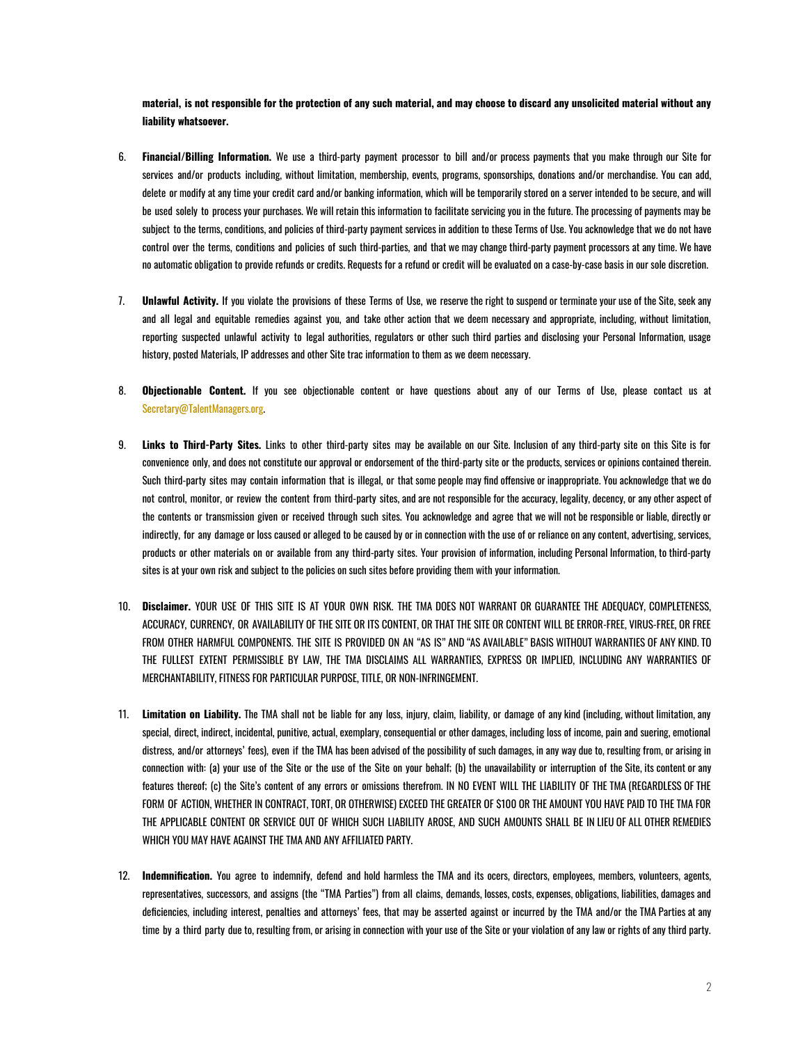material, is not responsible for the protection of any such material, and may choose to discard any unsolicited material without any **liability whatsoever.**

- 6. **Financial/Billing Information.** We use a third-party payment processor to bill and/or process payments that you make through our Site for services and/or products including, without limitation, membership, events, programs, sponsorships, donations and/or merchandise. You can add, delete or modify at any time your credit card and/or banking information, which will be temporarily stored on a server intended to be secure, and will be used solely to process your purchases. We will retain this information to facilitate servicing you in the future. The processing of payments may be subject to the terms, conditions, and policies of third-party payment services in addition to these Terms of Use. You acknowledge that we do not have control over the terms, conditions and policies of such third-parties, and that we may change third-party payment processors at any time. We have no automatic obligation to provide refunds or credits. Requests for a refund or credit will be evaluated on a case-by-case basis in our sole discretion.
- 7. **Unlawful Activity.** If you violate the provisions of these Terms of Use, we reserve the right to suspend or terminate your use of the Site, seek any and all legal and equitable remedies against you, and take other action that we deem necessary and appropriate, including, without limitation, reporting suspected unlawful activity to legal authorities, regulators or other such third parties and disclosing your Personal Information, usage history, posted Materials, IP addresses and other Site trac information to them as we deem necessary.
- 8. **Objectionable Content.** If you see objectionable content or have questions about any of our Terms of Use, please contact us at Secretary@TalentManagers.org.
- 9. **Links to Third-Party Sites.** Links to other third-party sites may be available on our Site. Inclusion of any third-party site on this Site is for convenience only, and does not constitute our approval or endorsement of the third-party site or the products, services or opinions contained therein. Such third-party sites may contain information that is illegal, or that some people may find offensive or inappropriate. You acknowledge that we do not control, monitor, or review the content from third-party sites, and are not responsible for the accuracy, legality, decency, or any other aspect of the contents or transmission given or received through such sites. You acknowledge and agree that we will not be responsible or liable, directly or indirectly, for any damage or loss caused or alleged to be caused by or in connection with the use of or reliance on any content, advertising, services, products or other materials on or available from any third-party sites. Your provision of information, including Personal Information, to third-party sites is at your own risk and subject to the policies on such sites before providing them with your information.
- 10. **Disclaimer.** YOUR USE OF THIS SITE IS AT YOUR OWN RISK. THE TMA DOES NOT WARRANT OR GUARANTEE THE ADEQUACY, COMPLETENESS, ACCURACY, CURRENCY, OR AVAILABILITY OF THE SITE OR ITS CONTENT, OR THAT THE SITE OR CONTENT WILL BE ERROR-FREE, VIRUS-FREE, OR FREE FROM OTHER HARMFUL COMPONENTS. THE SITE IS PROVIDED ON AN "AS IS" AND "AS AVAILABLE" BASIS WITHOUT WARRANTIES OF ANY KIND. TO THE FULLEST EXTENT PERMISSIBLE BY LAW, THE TMA DISCLAIMS ALL WARRANTIES, EXPRESS OR IMPLIED, INCLUDING ANY WARRANTIES OF MERCHANTABILITY, FITNESS FOR PARTICULAR PURPOSE, TITLE, OR NON-INFRINGEMENT.
- 11. **Limitation on Liability.** The TMA shall not be liable for any loss, injury, claim, liability, or damage of any kind (including, without limitation, any special, direct, indirect, incidental, punitive, actual, exemplary, consequential or other damages, including loss of income, pain and suering, emotional distress, and/or attorneys' fees), even if the TMA has been advised of the possibility of such damages, in any way due to, resulting from, or arising in connection with: (a) your use of the Site or the use of the Site on your behalf; (b) the unavailability or interruption of the Site, its content or any features thereof; (c) the Site's content of any errors or omissions therefrom. IN NO EVENT WILL THE LIABILITY OF THE TMA (REGARDLESS OF THE FORM OF ACTION, WHETHER IN CONTRACT, TORT, OR OTHERWISE) EXCEED THE GREATER OF \$100 OR THE AMOUNT YOU HAVE PAID TO THE TMA FOR THE APPLICABLE CONTENT OR SERVICE OUT OF WHICH SUCH LIABILITY AROSE, AND SUCH AMOUNTS SHALL BE IN LIEU OF ALL OTHER REMEDIES WHICH YOU MAY HAVE AGAINST THE TMA AND ANY AFFILIATED PARTY.
- 12. **Indemnification.** You agree to indemnify, defend and hold harmless the TMA and its ocers, directors, employees, members, volunteers, agents, representatives, successors, and assigns (the "TMA Parties") from all claims, demands, losses, costs, expenses, obligations, liabilities, damages and deficiencies, including interest, penalties and attorneys' fees, that may be asserted against or incurred by the TMA and/or the TMA Parties at any time by a third party due to, resulting from, or arising in connection with your use of the Site or your violation of any law or rights of any third party.